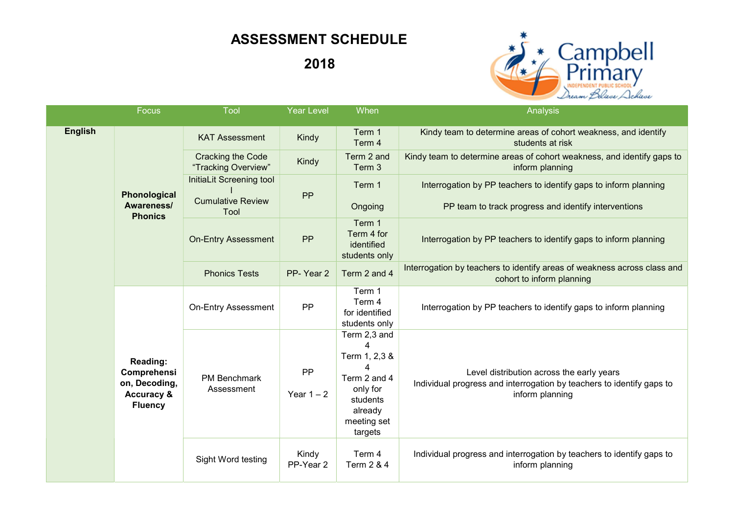## ASSESSMENT SCHEDULE

2018



|                | Focus                                                                               | Tool                                                         | <b>Year Level</b>  | <b>When</b>                                                                                                          | Analysis                                                                                                                              |
|----------------|-------------------------------------------------------------------------------------|--------------------------------------------------------------|--------------------|----------------------------------------------------------------------------------------------------------------------|---------------------------------------------------------------------------------------------------------------------------------------|
| <b>English</b> | Phonological<br>Awareness/<br><b>Phonics</b>                                        | <b>KAT Assessment</b>                                        | Kindy              | Term 1<br>Term 4                                                                                                     | Kindy team to determine areas of cohort weakness, and identify<br>students at risk                                                    |
|                |                                                                                     | <b>Cracking the Code</b><br>"Tracking Overview"              | Kindy              | Term 2 and<br>Term <sub>3</sub>                                                                                      | Kindy team to determine areas of cohort weakness, and identify gaps to<br>inform planning                                             |
|                |                                                                                     | InitiaLit Screening tool<br><b>Cumulative Review</b><br>Tool | PP                 | Term 1<br>Ongoing                                                                                                    | Interrogation by PP teachers to identify gaps to inform planning<br>PP team to track progress and identify interventions              |
|                |                                                                                     | <b>On-Entry Assessment</b>                                   | <b>PP</b>          | Term 1<br>Term 4 for<br>identified<br>students only                                                                  | Interrogation by PP teachers to identify gaps to inform planning                                                                      |
|                |                                                                                     | <b>Phonics Tests</b>                                         | PP-Year 2          | Term 2 and 4                                                                                                         | Interrogation by teachers to identify areas of weakness across class and<br>cohort to inform planning                                 |
|                | Reading:<br>Comprehensi<br>on, Decoding,<br><b>Accuracy &amp;</b><br><b>Fluency</b> | <b>On-Entry Assessment</b>                                   | PP                 | Term 1<br>Term 4<br>for identified<br>students only                                                                  | Interrogation by PP teachers to identify gaps to inform planning                                                                      |
|                |                                                                                     | <b>PM Benchmark</b><br>Assessment                            | PP<br>Year $1 - 2$ | Term 2,3 and<br>4<br>Term 1, 2,3 &<br>4<br>Term 2 and 4<br>only for<br>students<br>already<br>meeting set<br>targets | Level distribution across the early years<br>Individual progress and interrogation by teachers to identify gaps to<br>inform planning |
|                |                                                                                     | Sight Word testing                                           | Kindy<br>PP-Year 2 | Term 4<br>Term 2 & 4                                                                                                 | Individual progress and interrogation by teachers to identify gaps to<br>inform planning                                              |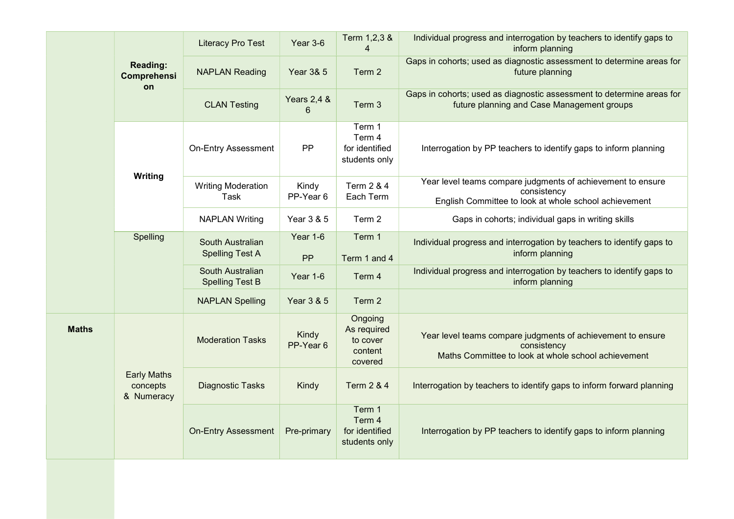|              | <b>Reading:</b><br><b>Comprehensi</b><br>on  | <b>Literacy Pro Test</b>                   | Year 3-6              | Term 1,2,3 &<br>4                                        | Individual progress and interrogation by teachers to identify gaps to<br>inform planning                                            |
|--------------|----------------------------------------------|--------------------------------------------|-----------------------|----------------------------------------------------------|-------------------------------------------------------------------------------------------------------------------------------------|
|              |                                              | <b>NAPLAN Reading</b>                      | <b>Year 3&amp; 5</b>  | Term 2                                                   | Gaps in cohorts; used as diagnostic assessment to determine areas for<br>future planning                                            |
|              |                                              | <b>CLAN Testing</b>                        | Years 2,4 &<br>6      | Term 3                                                   | Gaps in cohorts; used as diagnostic assessment to determine areas for<br>future planning and Case Management groups                 |
|              | Writing                                      | <b>On-Entry Assessment</b>                 | <b>PP</b>             | Term 1<br>Term 4<br>for identified<br>students only      | Interrogation by PP teachers to identify gaps to inform planning                                                                    |
|              |                                              | <b>Writing Moderation</b><br>Task          | Kindy<br>PP-Year 6    | Term 2 & 4<br>Each Term                                  | Year level teams compare judgments of achievement to ensure<br>consistency<br>English Committee to look at whole school achievement |
|              |                                              | <b>NAPLAN Writing</b>                      | Year 3 & 5            | Term 2                                                   | Gaps in cohorts; individual gaps in writing skills                                                                                  |
|              | Spelling                                     | South Australian<br><b>Spelling Test A</b> | Year 1-6<br>PP        | Term 1<br>Term 1 and 4                                   | Individual progress and interrogation by teachers to identify gaps to<br>inform planning                                            |
|              |                                              | South Australian<br><b>Spelling Test B</b> | Year 1-6              | Term 4                                                   | Individual progress and interrogation by teachers to identify gaps to<br>inform planning                                            |
|              |                                              | <b>NAPLAN Spelling</b>                     | <b>Year 3 &amp; 5</b> | Term 2                                                   |                                                                                                                                     |
| <b>Maths</b> | <b>Early Maths</b><br>concepts<br>& Numeracy | <b>Moderation Tasks</b>                    | Kindy<br>PP-Year 6    | Ongoing<br>As required<br>to cover<br>content<br>covered | Year level teams compare judgments of achievement to ensure<br>consistency<br>Maths Committee to look at whole school achievement   |
|              |                                              | Diagnostic Tasks                           | Kindy                 | <b>Term 2 &amp; 4</b>                                    | Interrogation by teachers to identify gaps to inform forward planning                                                               |
|              |                                              | <b>On-Entry Assessment</b>                 | Pre-primary           | Term 1<br>Term 4<br>for identified<br>students only      | Interrogation by PP teachers to identify gaps to inform planning                                                                    |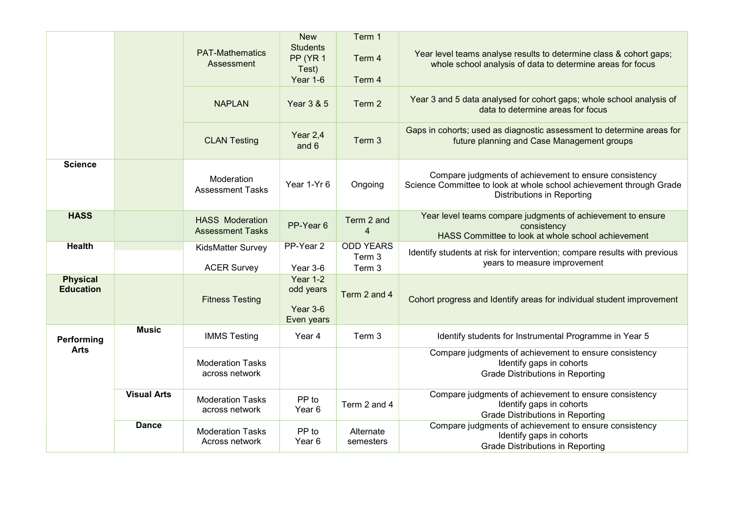|                                     |                    | <b>PAT-Mathematics</b><br>Assessment              | <b>New</b><br><b>Students</b><br>PP (YR 1<br>Test)<br>Year 1-6 | Term 1<br>Term 4<br>Term 4           | Year level teams analyse results to determine class & cohort gaps;<br>whole school analysis of data to determine areas for focus                                   |
|-------------------------------------|--------------------|---------------------------------------------------|----------------------------------------------------------------|--------------------------------------|--------------------------------------------------------------------------------------------------------------------------------------------------------------------|
|                                     |                    | <b>NAPLAN</b>                                     | <b>Year 3 &amp; 5</b>                                          | Term 2                               | Year 3 and 5 data analysed for cohort gaps; whole school analysis of<br>data to determine areas for focus                                                          |
|                                     |                    | <b>CLAN Testing</b>                               | Year 2,4<br>and $6$                                            | Term 3                               | Gaps in cohorts; used as diagnostic assessment to determine areas for<br>future planning and Case Management groups                                                |
| <b>Science</b>                      |                    | Moderation<br><b>Assessment Tasks</b>             | Year 1-Yr 6                                                    | Ongoing                              | Compare judgments of achievement to ensure consistency<br>Science Committee to look at whole school achievement through Grade<br><b>Distributions in Reporting</b> |
| <b>HASS</b>                         |                    | <b>HASS Moderation</b><br><b>Assessment Tasks</b> | PP-Year 6                                                      | Term 2 and<br>$\overline{4}$         | Year level teams compare judgments of achievement to ensure<br>consistency<br>HASS Committee to look at whole school achievement                                   |
| <b>Health</b>                       |                    | <b>KidsMatter Survey</b><br><b>ACER Survey</b>    | PP-Year 2<br>Year 3-6                                          | <b>ODD YEARS</b><br>Term 3<br>Term 3 | Identify students at risk for intervention; compare results with previous<br>years to measure improvement                                                          |
| <b>Physical</b><br><b>Education</b> |                    | <b>Fitness Testing</b>                            | Year 1-2<br>odd years<br>Year 3-6<br>Even years                | Term 2 and 4                         | Cohort progress and Identify areas for individual student improvement                                                                                              |
| Performing                          | <b>Music</b>       | <b>IMMS Testing</b>                               | Year 4                                                         | Term 3                               | Identify students for Instrumental Programme in Year 5                                                                                                             |
| <b>Arts</b>                         |                    | <b>Moderation Tasks</b><br>across network         |                                                                |                                      | Compare judgments of achievement to ensure consistency<br>Identify gaps in cohorts<br><b>Grade Distributions in Reporting</b>                                      |
|                                     | <b>Visual Arts</b> | <b>Moderation Tasks</b><br>across network         | PP to<br>Year <sub>6</sub>                                     | Term 2 and 4                         | Compare judgments of achievement to ensure consistency<br>Identify gaps in cohorts<br><b>Grade Distributions in Reporting</b>                                      |
|                                     | <b>Dance</b>       | <b>Moderation Tasks</b><br>Across network         | PP to<br>Year 6                                                | Alternate<br>semesters               | Compare judgments of achievement to ensure consistency<br>Identify gaps in cohorts<br><b>Grade Distributions in Reporting</b>                                      |